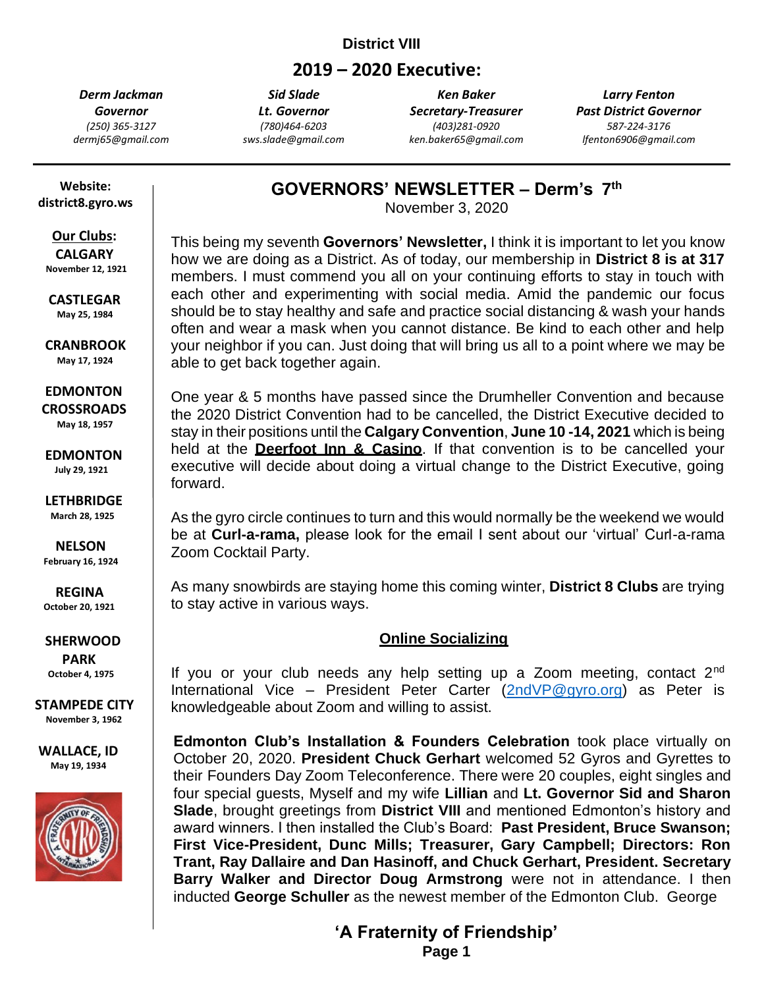## **District VIII**

# **2019 – 2020 Executive:**

*Derm Jackman Governor (250) 365-3127 dermj65@gmail.com*

*Sid Slade Lt. Governor (780)464-6203 sws.slade@gmail.com*

*Ken Baker Secretary-Treasurer (403)281-0920 ken.baker65@gmail.com*

*Larry Fenton Past District Governor 587-224-3176 lfenton6906@gmail.com*

 **Website: district8.gyro.ws**

#### **Our Clubs: CALGARY**

 **November 12, 1921**

 **CASTLEGAR May 25, 1984**

 **CRANBROOK May 17, 1924**

 **EDMONTON CROSSROADS May 18, 1957**

 **EDMONTON July 29, 1921**

 **LETHBRIDGE March 28, 1925**

 **NELSON**

 **February 16, 1924**

 **REGINA October 20, 1921**

 **SHERWOOD PARK October 4, 1975**

**STAMPEDE CITY November 3, 1962**

**WALLACE, ID May 19, 1934**



**GOVERNORS' NEWSLETTER – Derm's 7 th**

November 3, 2020

This being my seventh **Governors' Newsletter,** I think it is important to let you know how we are doing as a District. As of today, our membership in **District 8 is at 317**  members. I must commend you all on your continuing efforts to stay in touch with each other and experimenting with social media. Amid the pandemic our focus should be to stay healthy and safe and practice social distancing & wash your hands often and wear a mask when you cannot distance. Be kind to each other and help your neighbor if you can. Just doing that will bring us all to a point where we may be able to get back together again.

One year & 5 months have passed since the Drumheller Convention and because the 2020 District Convention had to be cancelled, the District Executive decided to stay in their positions until the **Calgary Convention**, **June 10 -14, 2021** which is being held at the **Deerfoot Inn & Casino**. If that convention is to be cancelled your executive will decide about doing a virtual change to the District Executive, going forward.

As the gyro circle continues to turn and this would normally be the weekend we would be at **Curl-a-rama,** please look for the email I sent about our 'virtual' Curl-a-rama Zoom Cocktail Party.

As many snowbirds are staying home this coming winter, **District 8 Clubs** are trying to stay active in various ways.

### **Online Socializing**

If you or your club needs any help setting up a Zoom meeting, contact 2<sup>nd</sup> International Vice – President Peter Carter [\(2ndVP@gyro.org\)](mailto:2ndVP@gyro.org) as Peter is knowledgeable about Zoom and willing to assist.

**Edmonton Club's Installation & Founders Celebration** took place virtually on October 20, 2020. **President Chuck Gerhart** welcomed 52 Gyros and Gyrettes to their Founders Day Zoom Teleconference. There were 20 couples, eight singles and four special guests, Myself and my wife **Lillian** and **Lt. Governor Sid and Sharon Slade**, brought greetings from **District VIII** and mentioned Edmonton's history and award winners. I then installed the Club's Board: **Past President, Bruce Swanson; First Vice-President, Dunc Mills; Treasurer, Gary Campbell; Directors: Ron Trant, Ray Dallaire and Dan Hasinoff, and Chuck Gerhart, President. Secretary Barry Walker and Director Doug Armstrong** were not in attendance. I then inducted **George Schuller** as the newest member of the Edmonton Club. George

**'A Fraternity o 'A Fraternity of Friendship'**

**Page 1**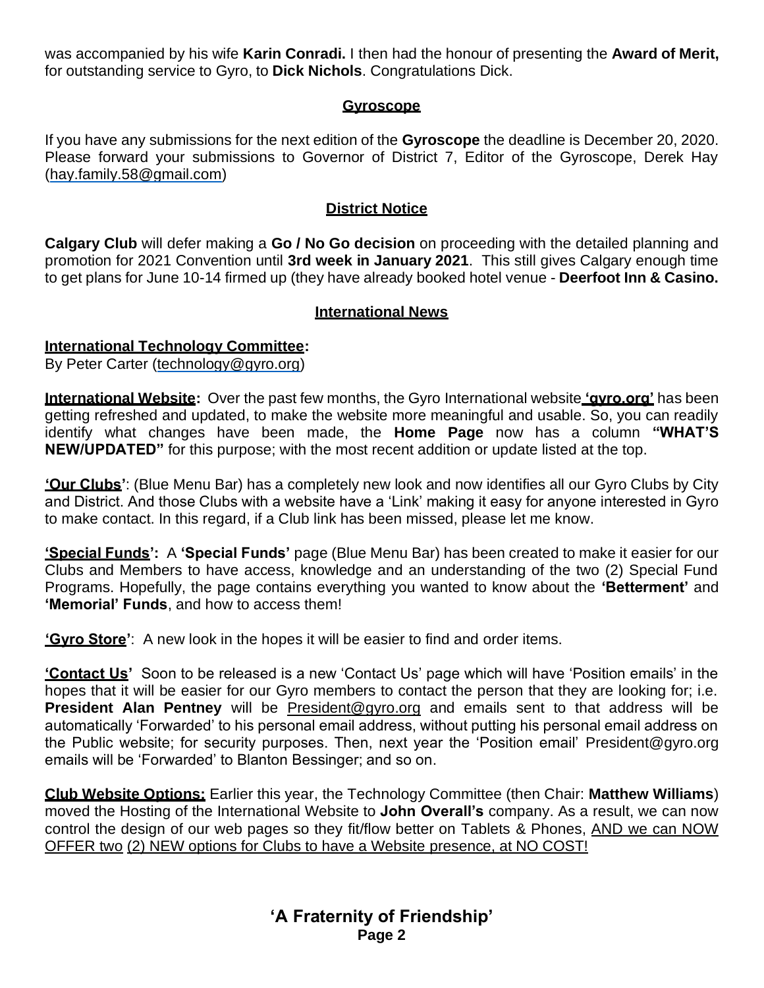was accompanied by his wife **Karin Conradi.** I then had the honour of presenting the **Award of Merit,** for outstanding service to Gyro, to **Dick Nichols**. Congratulations Dick.

### **Gyroscope**

If you have any submissions for the next edition of the **Gyroscope** the deadline is December 20, 2020. Please forward your submissions to Governor of District 7, Editor of the Gyroscope, Derek Hay [\(hay.family.58@gmail.com\)](mailto:hay.family.58@gmail.com)

#### **District Notice**

**Calgary Club** will defer making a **Go / No Go decision** on proceeding with the detailed planning and promotion for 2021 Convention until **3rd week in January 2021**. This still gives Calgary enough time to get plans for June 10-14 firmed up (they have already booked hotel venue - **Deerfoot Inn & Casino.** 

### **International News**

### **International Technology Committee:**

By Peter Carter [\(technology@gyro.org\)](mailto:technology@gyro.org)

**International Website:** Over the past few months, the Gyro International website **'gyro.org'** has been getting refreshed and updated, to make the website more meaningful and usable. So, you can readily identify what changes have been made, the **Home Page** now has a column **"WHAT'S NEW/UPDATED"** for this purpose; with the most recent addition or update listed at the top.

**'Our Clubs'**: (Blue Menu Bar) has a completely new look and now identifies all our Gyro Clubs by City and District. And those Clubs with a website have a 'Link' making it easy for anyone interested in Gyro to make contact. In this regard, if a Club link has been missed, please let me know.

**'Special Funds':** A **'Special Funds'** page (Blue Menu Bar) has been created to make it easier for our Clubs and Members to have access, knowledge and an understanding of the two (2) Special Fund Programs. Hopefully, the page contains everything you wanted to know about the **'Betterment'** and **'Memorial' Funds**, and how to access them!

**'Gyro Store'**: A new look in the hopes it will be easier to find and order items.

**'Contact Us'** Soon to be released is a new 'Contact Us' page which will have 'Position emails' in the hopes that it will be easier for our Gyro members to contact the person that they are looking for; i.e. **President Alan Pentney** will be [President@gyro.org](mailto:President@gyro.org) and emails sent to that address will be automatically 'Forwarded' to his personal email address, without putting his personal email address on the Public website; for security purposes. Then, next year the 'Position email' [President@gyro.org](mailto:President@gyro.org) emails will be 'Forwarded' to Blanton Bessinger; and so on.

**Club Website Options:** Earlier this year, the Technology Committee (then Chair: **Matthew Williams**) moved the Hosting of the International Website to **John Overall's** company. As a result, we can now control the design of our web pages so they fit/flow better on Tablets & Phones, AND we can NOW OFFER two (2) NEW options for Clubs to have a Website presence, at NO COST!

> **'A Fraternity of Friendship' Page 2**